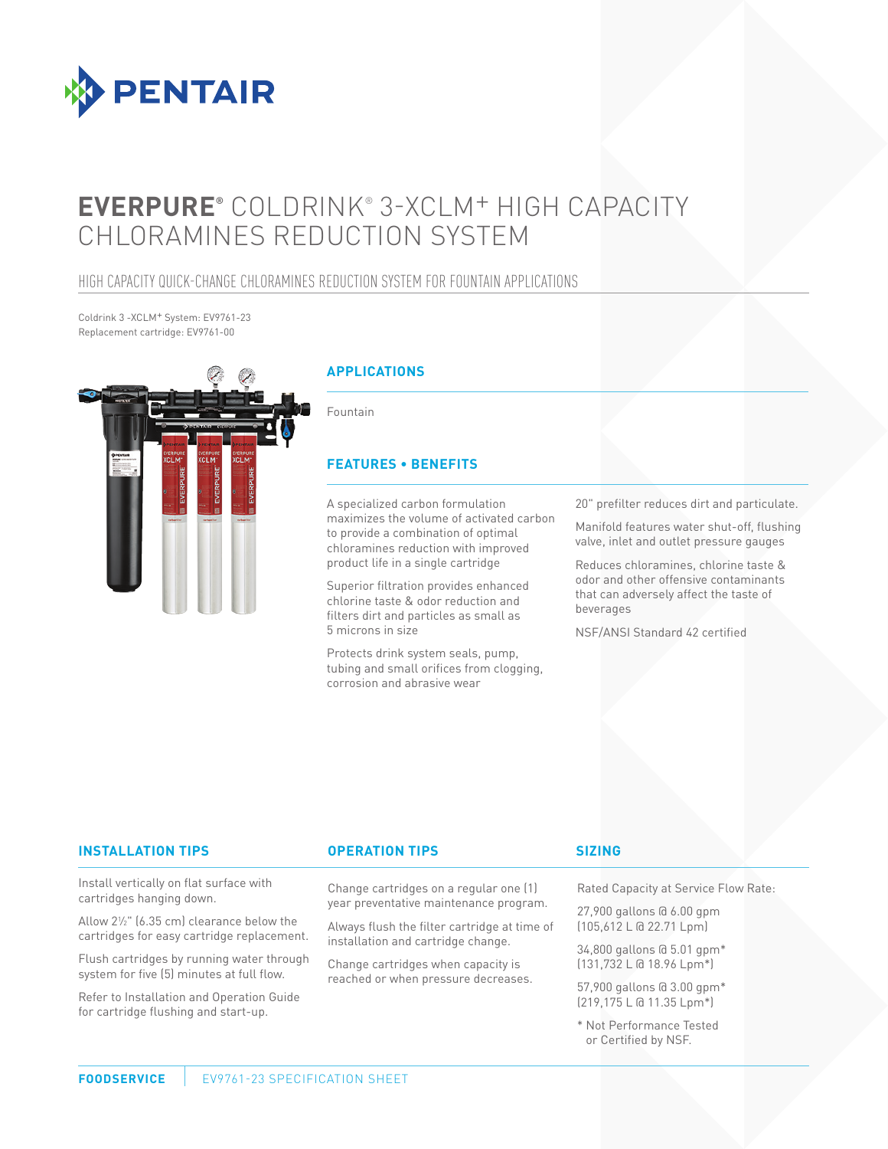

# **EVERPURE®** COLDRINK® 3-XCLM+ HIGH CAPACITY CHLORAMINES REDUCTION SYSTEM

### HIGH CAPACITY QUICK-CHANGE CHLORAMINES REDUCTION SYSTEM FOR FOUNTAIN APPLICATIONS

Coldrink 3 -XCLM+ System: EV9761-23 Replacement cartridge: EV9761-00



#### **APPLICATIONS**

Fountain

#### **FEATURES • BENEFITS**

A specialized carbon formulation maximizes the volume of activated carbon to provide a combination of optimal chloramines reduction with improved product life in a single cartridge

Superior filtration provides enhanced chlorine taste & odor reduction and filters dirt and particles as small as 5 microns in size

Protects drink system seals, pump, tubing and small orifices from clogging, corrosion and abrasive wear

20" prefilter reduces dirt and particulate.

Manifold features water shut-off, flushing valve, inlet and outlet pressure gauges

Reduces chloramines, chlorine taste & odor and other offensive contaminants that can adversely affect the taste of beverages

NSF/ANSI Standard 42 certified

#### **INSTALLATION TIPS OPERATION TIPS**

Install vertically on flat surface with cartridges hanging down.

Allow 21 ⁄2" (6.35 cm) clearance below the cartridges for easy cartridge replacement.

Flush cartridges by running water through system for five (5) minutes at full flow.

Refer to Installation and Operation Guide for cartridge flushing and start-up.

Change cartridges on a regular one (1) year preventative maintenance program.

Always flush the filter cartridge at time of installation and cartridge change.

Change cartridges when capacity is reached or when pressure decreases.

#### **SIZING**

Rated Capacity at Service Flow Rate:

27,900 gallons @ 6.00 gpm (105,612 L @ 22.71 Lpm)

34,800 gallons @ 5.01 gpm\* (131,732 L @ 18.96 Lpm\*)

57,900 gallons @ 3.00 gpm\* (219,175 L @ 11.35 Lpm\*)

\* Not Performance Tested or Certified by NSF.